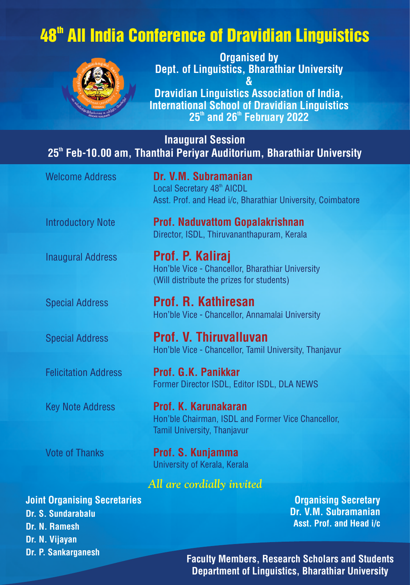## 48<sup>th</sup> All India Conference of Dravidian Linguistics



Organised by Dept. of Linguistics, Bharathiar University & Dravidian Linguistics Association of India, International School of Dravidian Linguistics

 $25<sup>th</sup>$  and  $26<sup>th</sup>$  February 2022

Inaugural Session 25<sup>th</sup> Feb-10.00 am, Thanthai Periyar Auditorium, Bharathiar University

| <b>Welcome Address</b>                             | Dr. V.M. Subramanian<br>Local Secretary 48 <sup>th</sup> AICDL<br>Asst. Prof. and Head i/c, Bharathiar University, Coimbatore |
|----------------------------------------------------|-------------------------------------------------------------------------------------------------------------------------------|
| <b>Introductory Note</b>                           | <b>Prof. Naduvattom Gopalakrishnan</b><br>Director, ISDL, Thiruvananthapuram, Kerala                                          |
| <b>Inaugural Address</b>                           | Prof. P. Kaliraj<br>Hon'ble Vice - Chancellor, Bharathiar University<br>(Will distribute the prizes for students)             |
| <b>Special Address</b>                             | <b>Prof. R. Kathiresan</b><br>Hon'ble Vice - Chancellor, Annamalai University                                                 |
| <b>Special Address</b>                             | Prof. V. Thiruvalluvan<br>Hon'ble Vice - Chancellor, Tamil University, Thanjavur                                              |
| <b>Felicitation Address</b>                        | Prof. G.K. Panikkar<br>Former Director ISDL, Editor ISDL, DLA NEWS                                                            |
| <b>Key Note Address</b>                            | Prof. K. Karunakaran<br>Hon'ble Chairman, ISDL and Former Vice Chancellor,<br><b>Tamil University, Thanjavur</b>              |
| <b>Vote of Thanks</b>                              | Prof. S. Kunjamma<br>University of Kerala, Kerala                                                                             |
|                                                    | All are cordially invited                                                                                                     |
| nt Organising Secretaries<br><b>C. Condenshelm</b> | <b>Organising Secret</b><br>Dr VM Suhraman                                                                                    |

Joint Organising Secretaries Dr. S. Sundarabalu Dr. N. Ramesh Dr. N. Vijayan Dr. P. Sankarganesh

ary Dr. V.M. Subramanian Asst. Prof. and Head i/c

Faculty Members, Research Scholars and Students Department of Linguistics, Bharathiar University